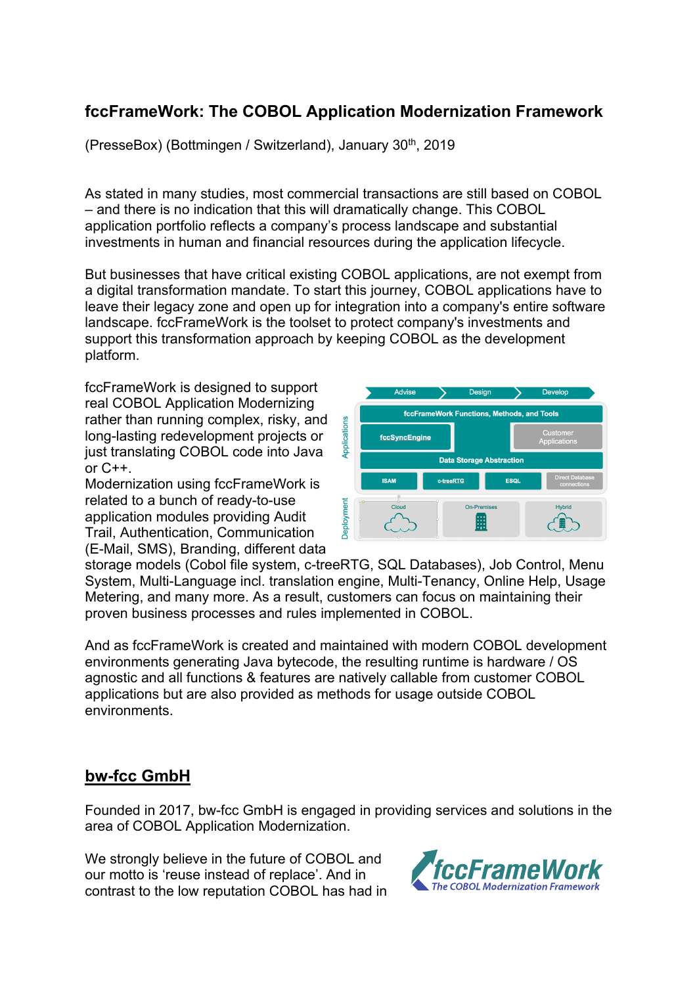## **fccFrameWork: The COBOL Application Modernization Framework**

(PresseBox) (Bottmingen / Switzerland), January 30<sup>th</sup>, 2019

As stated in many studies, most commercial transactions are still based on COBOL – and there is no indication that this will dramatically change. This COBOL application portfolio reflects a company's process landscape and substantial investments in human and financial resources during the application lifecycle.

But businesses that have critical existing COBOL applications, are not exempt from a digital transformation mandate. To start this journey, COBOL applications have to leave their legacy zone and open up for integration into a company's entire software landscape. fccFrameWork is the toolset to protect company's investments and support this transformation approach by keeping COBOL as the development platform.

fccFrameWork is designed to support real COBOL Application Modernizing rather than running complex, risky, and long-lasting redevelopment projects or just translating COBOL code into Java or C++.

Modernization using fccFrameWork is related to a bunch of ready-to-use application modules providing Audit Trail, Authentication, Communication (E-Mail, SMS), Branding, different data



storage models (Cobol file system, c-treeRTG, SQL Databases), Job Control, Menu System, Multi-Language incl. translation engine, Multi-Tenancy, Online Help, Usage Metering, and many more. As a result, customers can focus on maintaining their proven business processes and rules implemented in COBOL.

And as fccFrameWork is created and maintained with modern COBOL development environments generating Java bytecode, the resulting runtime is hardware / OS agnostic and all functions & features are natively callable from customer COBOL applications but are also provided as methods for usage outside COBOL environments.

## **bw-fcc GmbH**

Founded in 2017, bw-fcc GmbH is engaged in providing services and solutions in the area of COBOL Application Modernization.

We strongly believe in the future of COBOL and our motto is 'reuse instead of replace'. And in contrast to the low reputation COBOL has had in